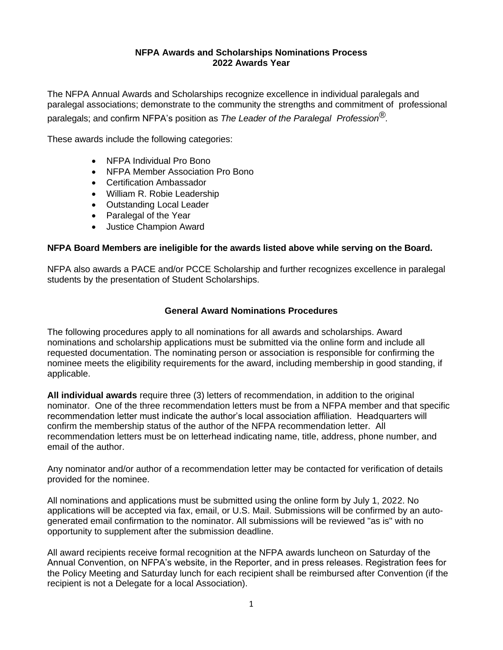#### **NFPA Awards and Scholarships Nominations Process 2022 Awards Year**

The NFPA Annual Awards and Scholarships recognize excellence in individual paralegals and paralegal associations; demonstrate to the community the strengths and commitment of professional paralegals; and confirm NFPA's position as *The Leader of the Paralegal Profession®.*

These awards include the following categories:

- NFPA Individual Pro Bono
- NFPA Member Association Pro Bono
- Certification Ambassador
- William R. Robie Leadership
- Outstanding Local Leader
- Paralegal of the Year
- Justice Champion Award

#### **NFPA Board Members are ineligible for the awards listed above while serving on the Board.**

NFPA also awards a PACE and/or PCCE Scholarship and further recognizes excellence in paralegal students by the presentation of Student Scholarships.

#### **General Award Nominations Procedures**

The following procedures apply to all nominations for all awards and scholarships. Award nominations and scholarship applications must be submitted via the online form and include all requested documentation. The nominating person or association is responsible for confirming the nominee meets the eligibility requirements for the award, including membership in good standing, if applicable.

**All individual awards** require three (3) letters of recommendation, in addition to the original nominator. One of the three recommendation letters must be from a NFPA member and that specific recommendation letter must indicate the author's local association affiliation. Headquarters will confirm the membership status of the author of the NFPA recommendation letter. All recommendation letters must be on letterhead indicating name, title, address, phone number, and email of the author.

Any nominator and/or author of a recommendation letter may be contacted for verification of details provided for the nominee.

All nominations and applications must be submitted using the online form by July 1, 2022. No applications will be accepted via fax, email, or U.S. Mail. Submissions will be confirmed by an autogenerated email confirmation to the nominator. All submissions will be reviewed "as is" with no opportunity to supplement after the submission deadline.

All award recipients receive formal recognition at the NFPA awards luncheon on Saturday of the Annual Convention, on NFPA's website, in the Reporter, and in press releases. Registration fees for the Policy Meeting and Saturday lunch for each recipient shall be reimbursed after Convention (if the recipient is not a Delegate for a local Association).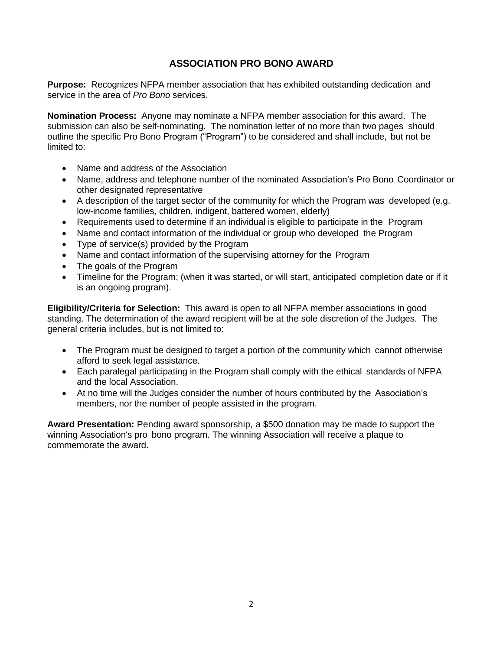## **ASSOCIATION PRO BONO AWARD**

**Purpose:** Recognizes NFPA member association that has exhibited outstanding dedication and service in the area of *Pro Bono* services.

**Nomination Process:** Anyone may nominate a NFPA member association for this award. The submission can also be self-nominating. The nomination letter of no more than two pages should outline the specific Pro Bono Program ("Program") to be considered and shall include, but not be limited to:

- Name and address of the Association
- Name, address and telephone number of the nominated Association's Pro Bono Coordinator or other designated representative
- A description of the target sector of the community for which the Program was developed (e.g. low-income families, children, indigent, battered women, elderly)
- Requirements used to determine if an individual is eligible to participate in the Program
- Name and contact information of the individual or group who developed the Program
- Type of service(s) provided by the Program
- Name and contact information of the supervising attorney for the Program
- The goals of the Program
- Timeline for the Program; (when it was started, or will start, anticipated completion date or if it is an ongoing program).

**Eligibility/Criteria for Selection:** This award is open to all NFPA member associations in good standing. The determination of the award recipient will be at the sole discretion of the Judges. The general criteria includes, but is not limited to:

- The Program must be designed to target a portion of the community which cannot otherwise afford to seek legal assistance.
- Each paralegal participating in the Program shall comply with the ethical standards of NFPA and the local Association.
- At no time will the Judges consider the number of hours contributed by the Association's members, nor the number of people assisted in the program.

**Award Presentation:** Pending award sponsorship, a \$500 donation may be made to support the winning Association's pro bono program. The winning Association will receive a plaque to commemorate the award.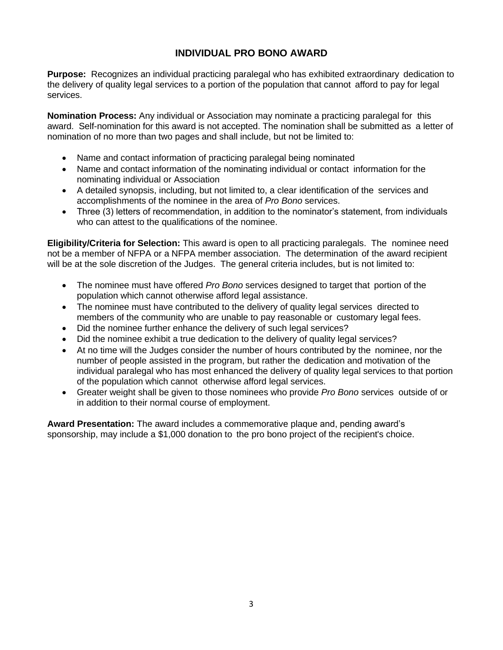### **INDIVIDUAL PRO BONO AWARD**

**Purpose:** Recognizes an individual practicing paralegal who has exhibited extraordinary dedication to the delivery of quality legal services to a portion of the population that cannot afford to pay for legal services.

**Nomination Process:** Any individual or Association may nominate a practicing paralegal for this award. Self-nomination for this award is not accepted. The nomination shall be submitted as a letter of nomination of no more than two pages and shall include, but not be limited to:

- Name and contact information of practicing paralegal being nominated
- Name and contact information of the nominating individual or contact information for the nominating individual or Association
- A detailed synopsis, including, but not limited to, a clear identification of the services and accomplishments of the nominee in the area of *Pro Bono* services.
- Three (3) letters of recommendation, in addition to the nominator's statement, from individuals who can attest to the qualifications of the nominee.

**Eligibility/Criteria for Selection:** This award is open to all practicing paralegals. The nominee need not be a member of NFPA or a NFPA member association. The determination of the award recipient will be at the sole discretion of the Judges. The general criteria includes, but is not limited to:

- The nominee must have offered *Pro Bono* services designed to target that portion of the population which cannot otherwise afford legal assistance.
- The nominee must have contributed to the delivery of quality legal services directed to members of the community who are unable to pay reasonable or customary legal fees.
- Did the nominee further enhance the delivery of such legal services?
- Did the nominee exhibit a true dedication to the delivery of quality legal services?
- At no time will the Judges consider the number of hours contributed by the nominee, nor the number of people assisted in the program, but rather the dedication and motivation of the individual paralegal who has most enhanced the delivery of quality legal services to that portion of the population which cannot otherwise afford legal services.
- Greater weight shall be given to those nominees who provide *Pro Bono* services outside of or in addition to their normal course of employment.

**Award Presentation:** The award includes a commemorative plaque and, pending award's sponsorship, may include a \$1,000 donation to the pro bono project of the recipient's choice.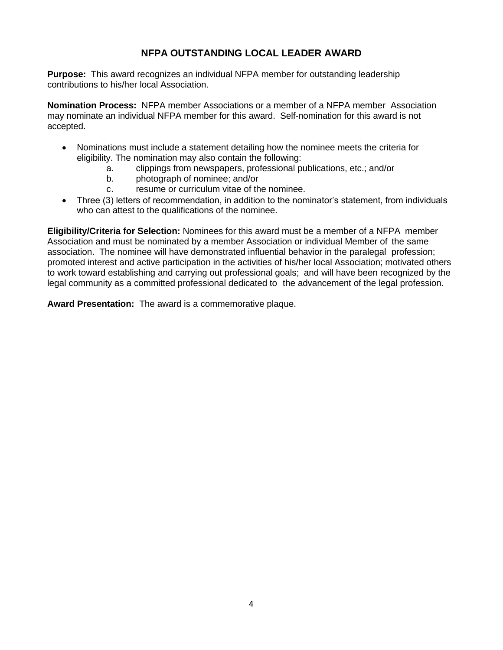## **NFPA OUTSTANDING LOCAL LEADER AWARD**

**Purpose:** This award recognizes an individual NFPA member for outstanding leadership contributions to his/her local Association.

**Nomination Process:** NFPA member Associations or a member of a NFPA member Association may nominate an individual NFPA member for this award. Self-nomination for this award is not accepted.

- Nominations must include a statement detailing how the nominee meets the criteria for eligibility. The nomination may also contain the following:
	- a. clippings from newspapers, professional publications, etc.; and/or
	- b. photograph of nominee; and/or
	- c. resume or curriculum vitae of the nominee.
- Three (3) letters of recommendation, in addition to the nominator's statement, from individuals who can attest to the qualifications of the nominee.

**Eligibility/Criteria for Selection:** Nominees for this award must be a member of a NFPA member Association and must be nominated by a member Association or individual Member of the same association. The nominee will have demonstrated influential behavior in the paralegal profession; promoted interest and active participation in the activities of his/her local Association; motivated others to work toward establishing and carrying out professional goals; and will have been recognized by the legal community as a committed professional dedicated to the advancement of the legal profession.

**Award Presentation:** The award is a commemorative plaque.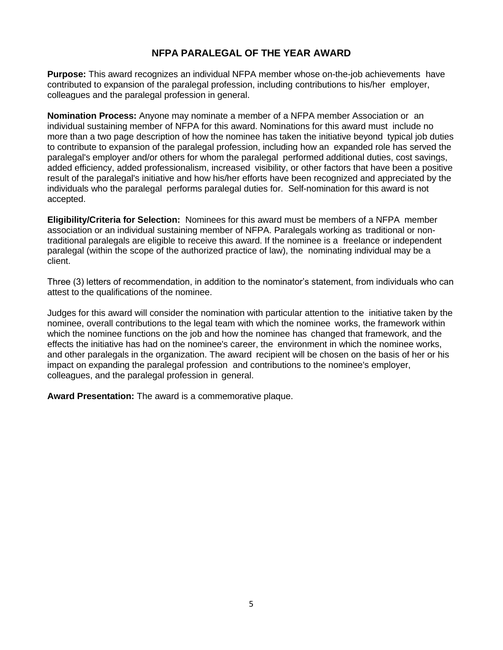### **NFPA PARALEGAL OF THE YEAR AWARD**

**Purpose:** This award recognizes an individual NFPA member whose on-the-job achievements have contributed to expansion of the paralegal profession, including contributions to his/her employer, colleagues and the paralegal profession in general.

**Nomination Process:** Anyone may nominate a member of a NFPA member Association or an individual sustaining member of NFPA for this award. Nominations for this award must include no more than a two page description of how the nominee has taken the initiative beyond typical job duties to contribute to expansion of the paralegal profession, including how an expanded role has served the paralegal's employer and/or others for whom the paralegal performed additional duties, cost savings, added efficiency, added professionalism, increased visibility, or other factors that have been a positive result of the paralegal's initiative and how his/her efforts have been recognized and appreciated by the individuals who the paralegal performs paralegal duties for. Self-nomination for this award is not accepted.

**Eligibility/Criteria for Selection:** Nominees for this award must be members of a NFPA member association or an individual sustaining member of NFPA. Paralegals working as traditional or nontraditional paralegals are eligible to receive this award. If the nominee is a freelance or independent paralegal (within the scope of the authorized practice of law), the nominating individual may be a client.

Three (3) letters of recommendation, in addition to the nominator's statement, from individuals who can attest to the qualifications of the nominee.

Judges for this award will consider the nomination with particular attention to the initiative taken by the nominee, overall contributions to the legal team with which the nominee works, the framework within which the nominee functions on the job and how the nominee has changed that framework, and the effects the initiative has had on the nominee's career, the environment in which the nominee works, and other paralegals in the organization. The award recipient will be chosen on the basis of her or his impact on expanding the paralegal profession and contributions to the nominee's employer, colleagues, and the paralegal profession in general.

**Award Presentation:** The award is a commemorative plaque.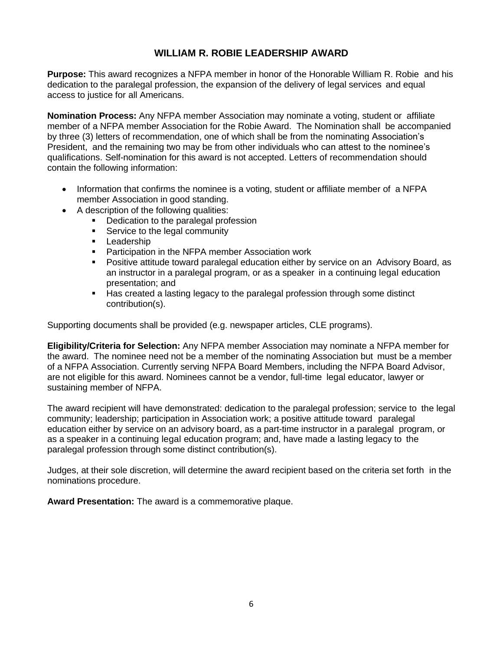### **WILLIAM R. ROBIE LEADERSHIP AWARD**

**Purpose:** This award recognizes a NFPA member in honor of the Honorable William R. Robie and his dedication to the paralegal profession, the expansion of the delivery of legal services and equal access to justice for all Americans.

**Nomination Process:** Any NFPA member Association may nominate a voting, student or affiliate member of a NFPA member Association for the Robie Award. The Nomination shall be accompanied by three (3) letters of recommendation, one of which shall be from the nominating Association's President, and the remaining two may be from other individuals who can attest to the nominee's qualifications. Self-nomination for this award is not accepted. Letters of recommendation should contain the following information:

- Information that confirms the nominee is a voting, student or affiliate member of a NFPA member Association in good standing.
- A description of the following qualities:
	- Dedication to the paralegal profession
	- Service to the legal community
	- **•** Leadership
	- Participation in the NFPA member Association work<br>■ Positive attitude toward paralegal education either by
	- Positive attitude toward paralegal education either by service on an Advisory Board, as an instructor in a paralegal program, or as a speaker in a continuing legal education presentation; and
	- Has created a lasting legacy to the paralegal profession through some distinct contribution(s).

Supporting documents shall be provided (e.g. newspaper articles, CLE programs).

**Eligibility/Criteria for Selection:** Any NFPA member Association may nominate a NFPA member for the award. The nominee need not be a member of the nominating Association but must be a member of a NFPA Association. Currently serving NFPA Board Members, including the NFPA Board Advisor, are not eligible for this award. Nominees cannot be a vendor, full-time legal educator, lawyer or sustaining member of NFPA.

The award recipient will have demonstrated: dedication to the paralegal profession; service to the legal community; leadership; participation in Association work; a positive attitude toward paralegal education either by service on an advisory board, as a part-time instructor in a paralegal program, or as a speaker in a continuing legal education program; and, have made a lasting legacy to the paralegal profession through some distinct contribution(s).

Judges, at their sole discretion, will determine the award recipient based on the criteria set forth in the nominations procedure.

**Award Presentation:** The award is a commemorative plaque.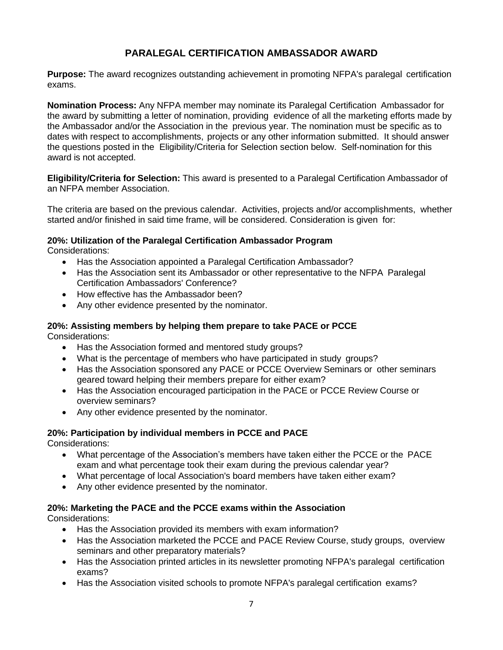# **PARALEGAL CERTIFICATION AMBASSADOR AWARD**

**Purpose:** The award recognizes outstanding achievement in promoting NFPA's paralegal certification exams.

**Nomination Process:** Any NFPA member may nominate its Paralegal Certification Ambassador for the award by submitting a letter of nomination, providing evidence of all the marketing efforts made by the Ambassador and/or the Association in the previous year. The nomination must be specific as to dates with respect to accomplishments, projects or any other information submitted. It should answer the questions posted in the Eligibility/Criteria for Selection section below. Self-nomination for this award is not accepted.

**Eligibility/Criteria for Selection:** This award is presented to a Paralegal Certification Ambassador of an NFPA member Association.

The criteria are based on the previous calendar. Activities, projects and/or accomplishments, whether started and/or finished in said time frame, will be considered. Consideration is given for:

### **20%: Utilization of the Paralegal Certification Ambassador Program**

Considerations:

- Has the Association appointed a Paralegal Certification Ambassador?
- Has the Association sent its Ambassador or other representative to the NFPA Paralegal Certification Ambassadors' Conference?
- How effective has the Ambassador been?
- Any other evidence presented by the nominator.

#### **20%: Assisting members by helping them prepare to take PACE or PCCE** Considerations:

- Has the Association formed and mentored study groups?
- What is the percentage of members who have participated in study groups?
- Has the Association sponsored any PACE or PCCE Overview Seminars or other seminars geared toward helping their members prepare for either exam?
- Has the Association encouraged participation in the PACE or PCCE Review Course or overview seminars?
- Any other evidence presented by the nominator.

# **20%: Participation by individual members in PCCE and PACE**

Considerations:

- What percentage of the Association's members have taken either the PCCE or the PACE exam and what percentage took their exam during the previous calendar year?
- What percentage of local Association's board members have taken either exam?
- Any other evidence presented by the nominator.

### **20%: Marketing the PACE and the PCCE exams within the Association**

Considerations:

- Has the Association provided its members with exam information?
- Has the Association marketed the PCCE and PACE Review Course, study groups, overview seminars and other preparatory materials?
- Has the Association printed articles in its newsletter promoting NFPA's paralegal certification exams?
- Has the Association visited schools to promote NFPA's paralegal certification exams?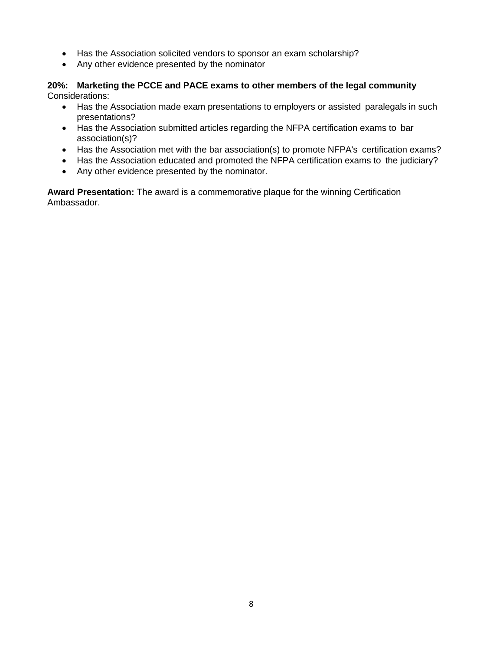- Has the Association solicited vendors to sponsor an exam scholarship?
- Any other evidence presented by the nominator

#### **20%: Marketing the PCCE and PACE exams to other members of the legal community** Considerations:

- Has the Association made exam presentations to employers or assisted paralegals in such presentations?
- Has the Association submitted articles regarding the NFPA certification exams to bar association(s)?
- Has the Association met with the bar association(s) to promote NFPA's certification exams?
- Has the Association educated and promoted the NFPA certification exams to the judiciary?
- Any other evidence presented by the nominator.

**Award Presentation:** The award is a commemorative plaque for the winning Certification Ambassador.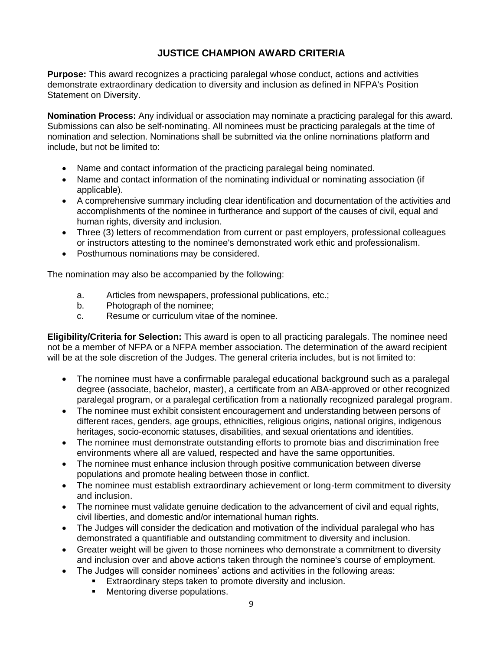# **JUSTICE CHAMPION AWARD CRITERIA**

**Purpose:** This award recognizes a practicing paralegal whose conduct, actions and activities demonstrate extraordinary dedication to diversity and inclusion as defined in NFPA's Position Statement on Diversity.

**Nomination Process:** Any individual or association may nominate a practicing paralegal for this award. Submissions can also be self-nominating. All nominees must be practicing paralegals at the time of nomination and selection. Nominations shall be submitted via the online nominations platform and include, but not be limited to:

- Name and contact information of the practicing paralegal being nominated.
- Name and contact information of the nominating individual or nominating association (if applicable).
- A comprehensive summary including clear identification and documentation of the activities and accomplishments of the nominee in furtherance and support of the causes of civil, equal and human rights, diversity and inclusion.
- Three (3) letters of recommendation from current or past employers, professional colleagues or instructors attesting to the nominee's demonstrated work ethic and professionalism.
- Posthumous nominations may be considered.

The nomination may also be accompanied by the following:

- a. Articles from newspapers, professional publications, etc.;
- b. Photograph of the nominee;
- c. Resume or curriculum vitae of the nominee.

**Eligibility/Criteria for Selection:** This award is open to all practicing paralegals. The nominee need not be a member of NFPA or a NFPA member association. The determination of the award recipient will be at the sole discretion of the Judges. The general criteria includes, but is not limited to:

- The nominee must have a confirmable paralegal educational background such as a paralegal degree (associate, bachelor, master), a certificate from an ABA-approved or other recognized paralegal program, or a paralegal certification from a nationally recognized paralegal program.
- The nominee must exhibit consistent encouragement and understanding between persons of different races, genders, age groups, ethnicities, religious origins, national origins, indigenous heritages, socio-economic statuses, disabilities, and sexual orientations and identities.
- The nominee must demonstrate outstanding efforts to promote bias and discrimination free environments where all are valued, respected and have the same opportunities.
- The nominee must enhance inclusion through positive communication between diverse populations and promote healing between those in conflict.
- The nominee must establish extraordinary achievement or long-term commitment to diversity and inclusion.
- The nominee must validate genuine dedication to the advancement of civil and equal rights, civil liberties, and domestic and/or international human rights.
- The Judges will consider the dedication and motivation of the individual paralegal who has demonstrated a quantifiable and outstanding commitment to diversity and inclusion.
- Greater weight will be given to those nominees who demonstrate a commitment to diversity and inclusion over and above actions taken through the nominee's course of employment.
- The Judges will consider nominees' actions and activities in the following areas:
	- **Extraordinary steps taken to promote diversity and inclusion.** 
		- **■** Mentoring diverse populations.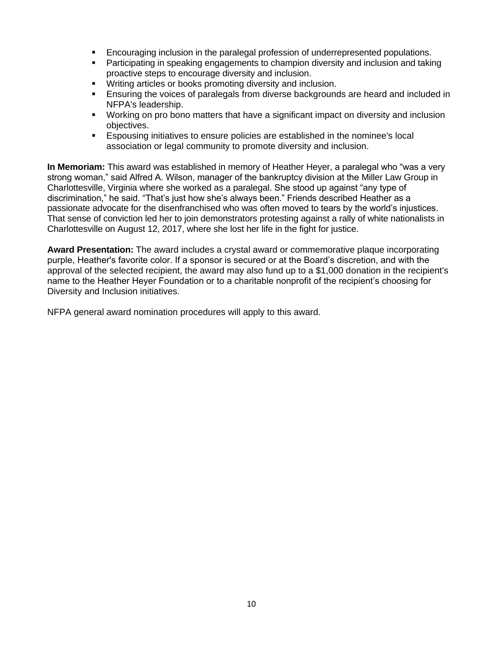- Encouraging inclusion in the paralegal profession of underrepresented populations.
- **Participating in speaking engagements to champion diversity and inclusion and taking** proactive steps to encourage diversity and inclusion.
- Writing articles or books promoting diversity and inclusion.
- Ensuring the voices of paralegals from diverse backgrounds are heard and included in NFPA's leadership.
- **■** Working on pro bono matters that have a significant impact on diversity and inclusion objectives.
- Espousing initiatives to ensure policies are established in the nominee's local association or legal community to promote diversity and inclusion.

**In Memoriam:** This award was established in memory of Heather Heyer, a paralegal who "was a very strong woman," said Alfred A. Wilson, manager of the bankruptcy division at the [Miller Law Group](https://www.millerlawgrouppc.com/) in Charlottesville, Virginia where she [worked as a paralegal.](https://www.millerlawgrouppc.com/firmbios/support-staff/heather-heyer/) She stood up against "any type of discrimination," he said. "That's just how she's always been." Friends described Heather as a passionate advocate for the disenfranchised who was often moved to tears by the world's injustices. That sense of conviction led her to join demonstrators protesting against a rally of white nationalists in Charlottesville on August 12, 2017, where she lost her life in the fight for justice.

**Award Presentation:** The award includes a crystal award or commemorative plaque incorporating purple, Heather's favorite color. If a sponsor is secured or at the Board's discretion, and with the approval of the selected recipient, the award may also fund up to a \$1,000 donation in the recipient's name to the Heather Heyer Foundation or to a charitable nonprofit of the recipient's choosing for Diversity and Inclusion initiatives.

NFPA general award nomination procedures will apply to this award.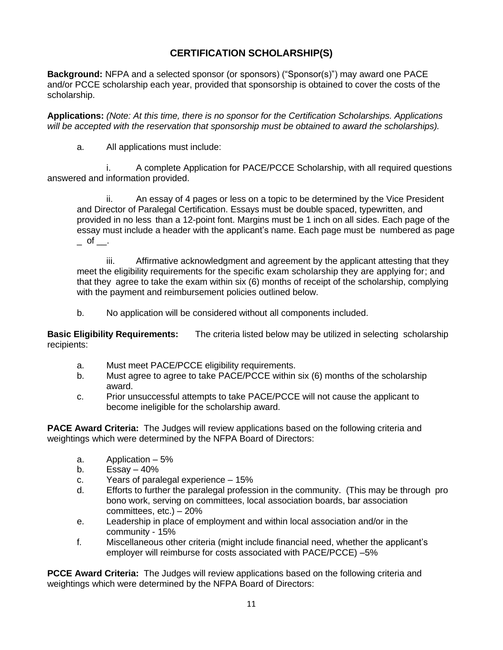# **CERTIFICATION SCHOLARSHIP(S)**

**Background:** NFPA and a selected sponsor (or sponsors) ("Sponsor(s)") may award one PACE and/or PCCE scholarship each year, provided that sponsorship is obtained to cover the costs of the scholarship.

**Applications:** *(Note: At this time, there is no sponsor for the Certification Scholarships. Applications will be accepted with the reservation that sponsorship must be obtained to award the scholarships).*

a. All applications must include:

i. A complete Application for PACE/PCCE Scholarship, with all required questions answered and information provided.

ii. An essay of 4 pages or less on a topic to be determined by the Vice President and Director of Paralegal Certification. Essays must be double spaced, typewritten, and provided in no less than a 12-point font. Margins must be 1 inch on all sides. Each page of the essay must include a header with the applicant's name. Each page must be numbered as page  $\overline{\phantom{a}}$  of  $\overline{\phantom{a}}$ .

iii. Affirmative acknowledgment and agreement by the applicant attesting that they meet the eligibility requirements for the specific exam scholarship they are applying for; and that they agree to take the exam within six (6) months of receipt of the scholarship, complying with the payment and reimbursement policies outlined below.

b. No application will be considered without all components included.

**Basic Eligibility Requirements:** The criteria listed below may be utilized in selecting scholarship recipients:

- a. Must meet PACE/PCCE eligibility requirements.
- b. Must agree to agree to take PACE/PCCE within six (6) months of the scholarship award.
- c. Prior unsuccessful attempts to take PACE/PCCE will not cause the applicant to become ineligible for the scholarship award.

**PACE Award Criteria:** The Judges will review applications based on the following criteria and weightings which were determined by the NFPA Board of Directors:

- a. Application 5%
- b. Essay  $-40\%$
- c. Years of paralegal experience 15%
- d. Efforts to further the paralegal profession in the community. (This may be through pro bono work, serving on committees, local association boards, bar association committees, etc.) – 20%
- e. Leadership in place of employment and within local association and/or in the community - 15%
- f. Miscellaneous other criteria (might include financial need, whether the applicant's employer will reimburse for costs associated with PACE/PCCE) –5%

**PCCE Award Criteria:** The Judges will review applications based on the following criteria and weightings which were determined by the NFPA Board of Directors: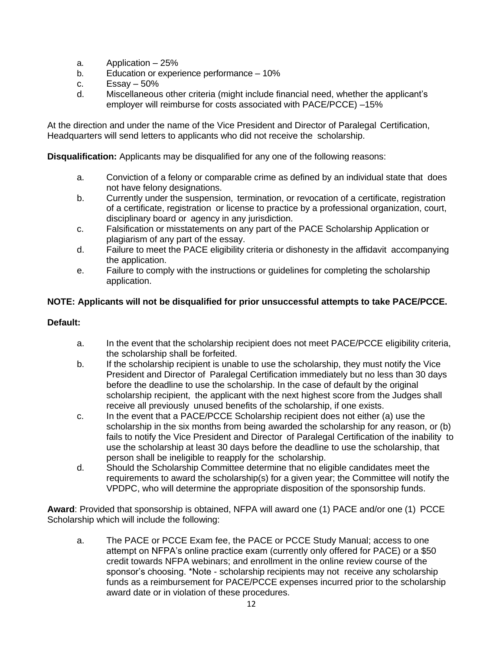- a. Application 25%
- b. Education or experience performance 10%
- c.  $Essav-50%$
- d. Miscellaneous other criteria (might include financial need, whether the applicant's employer will reimburse for costs associated with PACE/PCCE) –15%

At the direction and under the name of the Vice President and Director of Paralegal Certification, Headquarters will send letters to applicants who did not receive the scholarship.

**Disqualification:** Applicants may be disqualified for any one of the following reasons:

- a. Conviction of a felony or comparable crime as defined by an individual state that does not have felony designations.
- b. Currently under the suspension, termination, or revocation of a certificate, registration of a certificate, registration or license to practice by a professional organization, court, disciplinary board or agency in any jurisdiction.
- c. Falsification or misstatements on any part of the PACE Scholarship Application or plagiarism of any part of the essay.
- d. Failure to meet the PACE eligibility criteria or dishonesty in the affidavit accompanying the application.
- e. Failure to comply with the instructions or guidelines for completing the scholarship application.

### **NOTE: Applicants will not be disqualified for prior unsuccessful attempts to take PACE/PCCE.**

### **Default:**

- a. In the event that the scholarship recipient does not meet PACE/PCCE eligibility criteria, the scholarship shall be forfeited.
- b. If the scholarship recipient is unable to use the scholarship, they must notify the Vice President and Director of Paralegal Certification immediately but no less than 30 days before the deadline to use the scholarship. In the case of default by the original scholarship recipient, the applicant with the next highest score from the Judges shall receive all previously unused benefits of the scholarship, if one exists.
- c. In the event that a PACE/PCCE Scholarship recipient does not either (a) use the scholarship in the six months from being awarded the scholarship for any reason, or (b) fails to notify the Vice President and Director of Paralegal Certification of the inability to use the scholarship at least 30 days before the deadline to use the scholarship, that person shall be ineligible to reapply for the scholarship.
- d. Should the Scholarship Committee determine that no eligible candidates meet the requirements to award the scholarship(s) for a given year; the Committee will notify the VPDPC, who will determine the appropriate disposition of the sponsorship funds.

**Award**: Provided that sponsorship is obtained, NFPA will award one (1) PACE and/or one (1) PCCE Scholarship which will include the following:

a. The PACE or PCCE Exam fee, the PACE or PCCE Study Manual; access to one attempt on NFPA's online practice exam (currently only offered for PACE) or a \$50 credit towards NFPA webinars; and enrollment in the online review course of the sponsor's choosing. \*Note - scholarship recipients may not receive any scholarship funds as a reimbursement for PACE/PCCE expenses incurred prior to the scholarship award date or in violation of these procedures.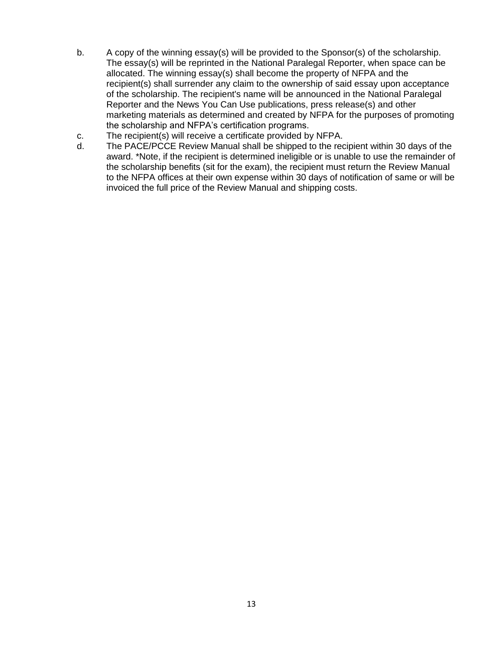- b. A copy of the winning essay(s) will be provided to the Sponsor(s) of the scholarship. The essay(s) will be reprinted in the National Paralegal Reporter, when space can be allocated. The winning essay(s) shall become the property of NFPA and the recipient(s) shall surrender any claim to the ownership of said essay upon acceptance of the scholarship. The recipient's name will be announced in the National Paralegal Reporter and the News You Can Use publications, press release(s) and other marketing materials as determined and created by NFPA for the purposes of promoting the scholarship and NFPA's certification programs.
- c. The recipient(s) will receive a certificate provided by NFPA.
- d. The PACE/PCCE Review Manual shall be shipped to the recipient within 30 days of the award. \*Note, if the recipient is determined ineligible or is unable to use the remainder of the scholarship benefits (sit for the exam), the recipient must return the Review Manual to the NFPA offices at their own expense within 30 days of notification of same or will be invoiced the full price of the Review Manual and shipping costs.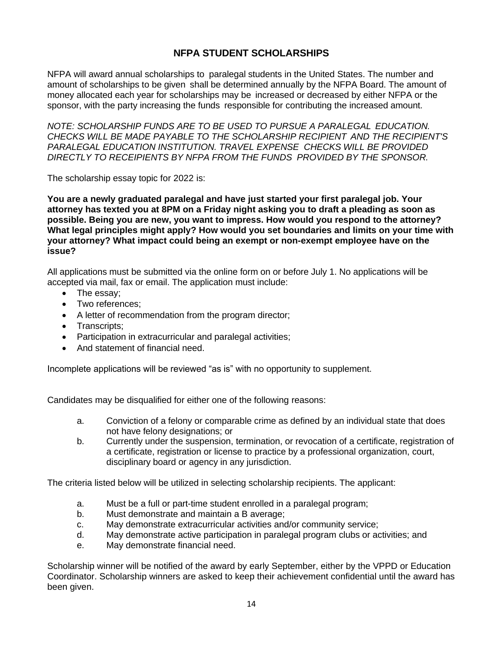### **NFPA STUDENT SCHOLARSHIPS**

NFPA will award annual scholarships to paralegal students in the United States. The number and amount of scholarships to be given shall be determined annually by the NFPA Board. The amount of money allocated each year for scholarships may be increased or decreased by either NFPA or the sponsor, with the party increasing the funds responsible for contributing the increased amount.

*NOTE: SCHOLARSHIP FUNDS ARE TO BE USED TO PURSUE A PARALEGAL EDUCATION. CHECKS WILL BE MADE PAYABLE TO THE SCHOLARSHIP RECIPIENT AND THE RECIPIENT'S PARALEGAL EDUCATION INSTITUTION. TRAVEL EXPENSE CHECKS WILL BE PROVIDED DIRECTLY TO RECEIPIENTS BY NFPA FROM THE FUNDS PROVIDED BY THE SPONSOR.*

The scholarship essay topic for 2022 is:

**You are a newly graduated paralegal and have just started your first paralegal job. Your attorney has texted you at 8PM on a Friday night asking you to draft a pleading as soon as possible. Being you are new, you want to impress. How would you respond to the attorney? What legal principles might apply? How would you set boundaries and limits on your time with your attorney? What impact could being an exempt or non-exempt employee have on the issue?**

All applications must be submitted via the online form on or before July 1. No applications will be accepted via mail, fax or email. The application must include:

- The essay;
- Two references;
- A letter of recommendation from the program director;
- Transcripts;
- Participation in extracurricular and paralegal activities;
- And statement of financial need.

Incomplete applications will be reviewed "as is" with no opportunity to supplement.

Candidates may be disqualified for either one of the following reasons:

- a. Conviction of a felony or comparable crime as defined by an individual state that does not have felony designations; or
- b. Currently under the suspension, termination, or revocation of a certificate, registration of a certificate, registration or license to practice by a professional organization, court, disciplinary board or agency in any jurisdiction.

The criteria listed below will be utilized in selecting scholarship recipients. The applicant:

- a. Must be a full or part-time student enrolled in a paralegal program;
- b. Must demonstrate and maintain a B average;
- c. May demonstrate extracurricular activities and/or community service;
- d. May demonstrate active participation in paralegal program clubs or activities; and
- e. May demonstrate financial need.

Scholarship winner will be notified of the award by early September, either by the VPPD or Education Coordinator. Scholarship winners are asked to keep their achievement confidential until the award has been given.